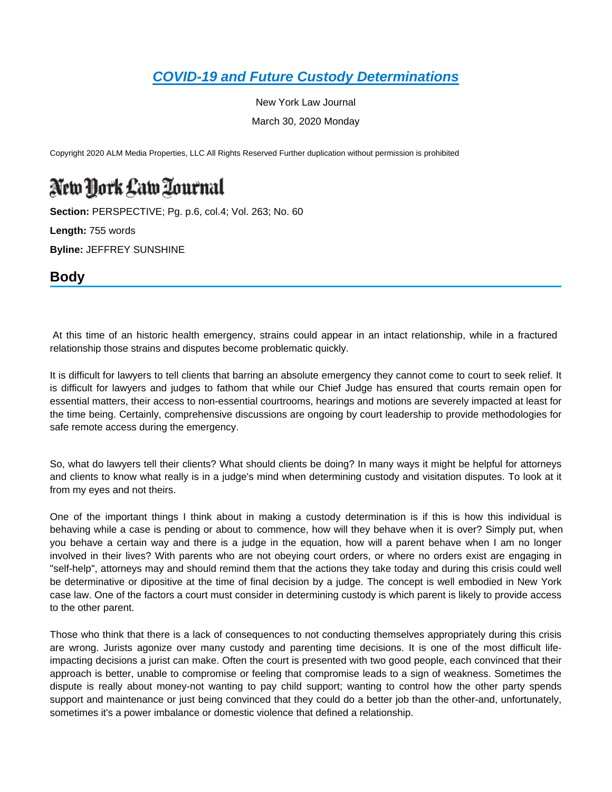## **[COVID-19 and Future Custody Determinations](https://advance.lexis.com/api/document?collection=legalnews&id=urn:contentItem:5YJ8-KFD1-JBM3-R0B5-00000-00&context=)**

New York Law Journal March 30, 2020 Monday

Copyright 2020 ALM Media Properties, LLC All Rights Reserved Further duplication without permission is prohibited

## New York Law Tournal

**Section:** PERSPECTIVE; Pg. p.6, col.4; Vol. 263; No. 60

**Length:** 755 words

**Byline:** JEFFREY SUNSHINE

## **Body**

 At this time of an historic health emergency, strains could appear in an intact relationship, while in a fractured relationship those strains and disputes become problematic quickly.

It is difficult for lawyers to tell clients that barring an absolute emergency they cannot come to court to seek relief. It is difficult for lawyers and judges to fathom that while our Chief Judge has ensured that courts remain open for essential matters, their access to non-essential courtrooms, hearings and motions are severely impacted at least for the time being. Certainly, comprehensive discussions are ongoing by court leadership to provide methodologies for safe remote access during the emergency.

So, what do lawyers tell their clients? What should clients be doing? In many ways it might be helpful for attorneys and clients to know what really is in a judge's mind when determining custody and visitation disputes. To look at it from my eyes and not theirs.

One of the important things I think about in making a custody determination is if this is how this individual is behaving while a case is pending or about to commence, how will they behave when it is over? Simply put, when you behave a certain way and there is a judge in the equation, how will a parent behave when I am no longer involved in their lives? With parents who are not obeying court orders, or where no orders exist are engaging in "self-help", attorneys may and should remind them that the actions they take today and during this crisis could well be determinative or dipositive at the time of final decision by a judge. The concept is well embodied in New York case law. One of the factors a court must consider in determining custody is which parent is likely to provide access to the other parent.

Those who think that there is a lack of consequences to not conducting themselves appropriately during this crisis are wrong. Jurists agonize over many custody and parenting time decisions. It is one of the most difficult lifeimpacting decisions a jurist can make. Often the court is presented with two good people, each convinced that their approach is better, unable to compromise or feeling that compromise leads to a sign of weakness. Sometimes the dispute is really about money-not wanting to pay child support; wanting to control how the other party spends support and maintenance or just being convinced that they could do a better job than the other-and, unfortunately, sometimes it's a power imbalance or domestic violence that defined a relationship.